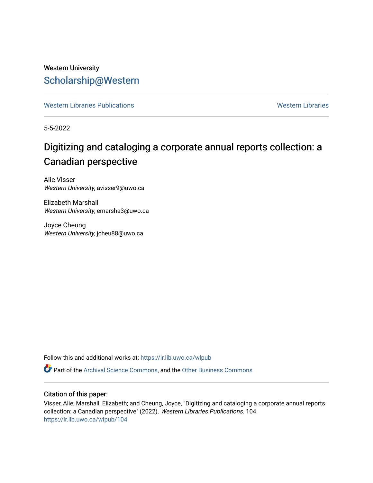# Western University [Scholarship@Western](https://ir.lib.uwo.ca/)

[Western Libraries Publications](https://ir.lib.uwo.ca/wlpub) **Western Libraries** Western Libraries

5-5-2022

# Digitizing and cataloging a corporate annual reports collection: a Canadian perspective

Alie Visser Western University, avisser9@uwo.ca

Elizabeth Marshall Western University, emarsha3@uwo.ca

Joyce Cheung Western University, jcheu88@uwo.ca

Follow this and additional works at: [https://ir.lib.uwo.ca/wlpub](https://ir.lib.uwo.ca/wlpub?utm_source=ir.lib.uwo.ca%2Fwlpub%2F104&utm_medium=PDF&utm_campaign=PDFCoverPages) 

**C** Part of the [Archival Science Commons,](http://network.bepress.com/hgg/discipline/1021?utm_source=ir.lib.uwo.ca%2Fwlpub%2F104&utm_medium=PDF&utm_campaign=PDFCoverPages) and the Other Business Commons

# Citation of this paper:

Visser, Alie; Marshall, Elizabeth; and Cheung, Joyce, "Digitizing and cataloging a corporate annual reports collection: a Canadian perspective" (2022). Western Libraries Publications. 104. [https://ir.lib.uwo.ca/wlpub/104](https://ir.lib.uwo.ca/wlpub/104?utm_source=ir.lib.uwo.ca%2Fwlpub%2F104&utm_medium=PDF&utm_campaign=PDFCoverPages)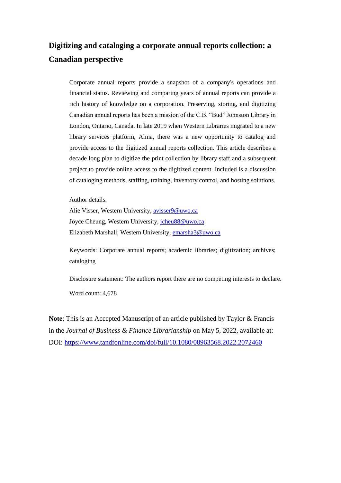# **Digitizing and cataloging a corporate annual reports collection: a Canadian perspective**

Corporate annual reports provide a snapshot of a company's operations and financial status. Reviewing and comparing years of annual reports can provide a rich history of knowledge on a corporation. Preserving, storing, and digitizing Canadian annual reports has been a mission of the C.B. "Bud" Johnston Library in London, Ontario, Canada. In late 2019 when Western Libraries migrated to a new library services platform, Alma, there was a new opportunity to catalog and provide access to the digitized annual reports collection. This article describes a decade long plan to digitize the print collection by library staff and a subsequent project to provide online access to the digitized content. Included is a discussion of cataloging methods, staffing, training, inventory control, and hosting solutions.

Author details:

Alie Visser, Western University, [avisser9@uwo.ca](mailto:avisser9@uwo.ca) Joyce Cheung, Western University, [jcheu88@uwo.ca](mailto:jcheu88@uwo.ca) Elizabeth Marshall, Western University, [emarsha3@uwo.ca](mailto:emarsha3@uwo.ca)

Keywords: Corporate annual reports; academic libraries; digitization; archives; cataloging

Disclosure statement: The authors report there are no competing interests to declare. Word count: 4,678

**Note**: This is an Accepted Manuscript of an article published by Taylor & Francis in the *Journal of Business & Finance Librarianship* on May 5, 2022, available at: DOI:<https://www.tandfonline.com/doi/full/10.1080/08963568.2022.2072460>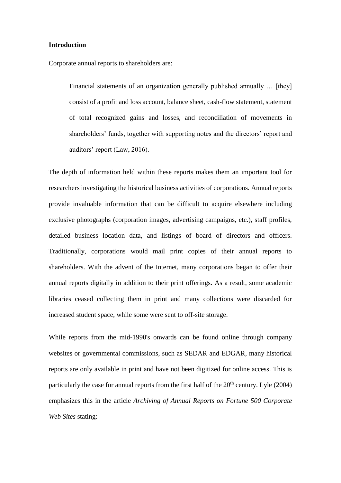#### **Introduction**

Corporate annual reports to shareholders are:

Financial statements of an organization generally published annually ... [they] consist of a profit and loss account, balance sheet, cash-flow statement, statement of total recognized gains and losses, and reconciliation of movements in shareholders' funds, together with supporting notes and the directors' report and auditors' report (Law, 2016).

The depth of information held within these reports makes them an important tool for researchers investigating the historical business activities of corporations. Annual reports provide invaluable information that can be difficult to acquire elsewhere including exclusive photographs (corporation images, advertising campaigns, etc.), staff profiles, detailed business location data, and listings of board of directors and officers. Traditionally, corporations would mail print copies of their annual reports to shareholders. With the advent of the Internet, many corporations began to offer their annual reports digitally in addition to their print offerings. As a result, some academic libraries ceased collecting them in print and many collections were discarded for increased student space, while some were sent to off-site storage.

While reports from the mid-1990's onwards can be found online through company websites or governmental commissions, such as SEDAR and EDGAR, many historical reports are only available in print and have not been digitized for online access. This is particularly the case for annual reports from the first half of the  $20<sup>th</sup>$  century. Lyle (2004) emphasizes this in the article *Archiving of Annual Reports on Fortune 500 Corporate Web Sites* stating: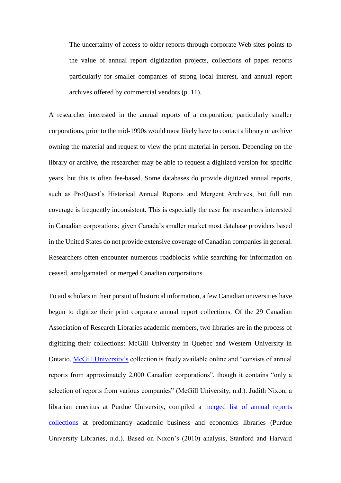The uncertainty of access to older reports through corporate Web sites points to the value of annual report digitization projects, collections of paper reports particularly for smaller companies of strong local interest, and annual report archives offered by commercial vendors (p. 11).

A researcher interested in the annual reports of a corporation, particularly smaller corporations, prior to the mid-1990s would most likely have to contact a library or archive owning the material and request to view the print material in person. Depending on the library or archive, the researcher may be able to request a digitized version for specific years, but this is often fee-based. Some databases do provide digitized annual reports, such as ProQuest's Historical Annual Reports and Mergent Archives, but full run coverage is frequently inconsistent. This is especially the case for researchers interested in Canadian corporations; given Canada's smaller market most database providers based in the United States do not provide extensive coverage of Canadian companies in general. Researchers often encounter numerous roadblocks while searching for information on ceased, amalgamated, or merged Canadian corporations.

To aid scholars in their pursuit of historical information, a few Canadian universities have begun to digitize their print corporate annual report collections. Of the 29 Canadian Association of Research Libraries academic members, two libraries are in the process of digitizing their collections: McGill University in Quebec and Western University in Ontario. [McGill University's](https://digital.library.mcgill.ca/hrcorpreports/home.htm) collection is freely available online and "consists of annual reports from approximately 2,000 Canadian corporations", though it contains "only a selection of reports from various companies" (McGill University, n.d.). Judith Nixon, a librarian emeritus at Purdue University, compiled a [merged list of annual reports](https://apps.lib.purdue.edu/abldars/)  [collections](https://apps.lib.purdue.edu/abldars/) at predominantly academic business and economics libraries (Purdue University Libraries, n.d.). Based on Nixon's (2010) analysis, Stanford and Harvard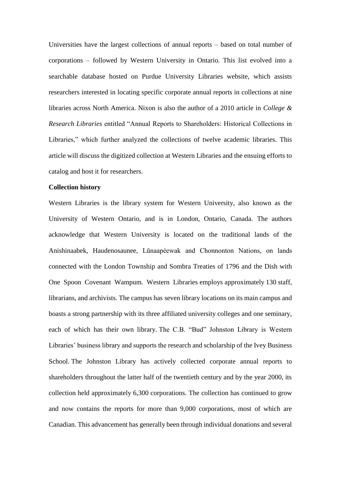Universities have the largest collections of annual reports – based on total number of corporations – followed by Western University in Ontario. This list evolved into a searchable database hosted on Purdue University Libraries website, which assists researchers interested in locating specific corporate annual reports in collections at nine libraries across North America. Nixon is also the author of a 2010 article in *College & Research Libraries* entitled "Annual Reports to Shareholders: Historical Collections in Libraries," which further analyzed the collections of twelve academic libraries. This article will discuss the digitized collection at Western Libraries and the ensuing efforts to catalog and host it for researchers.

# **Collection history**

Western Libraries is the library system for Western University, also known as the University of Western Ontario, and is in London, Ontario, Canada. The authors acknowledge that Western University is located on the traditional lands of the Anishinaabek, Haudenosaunee, Lūnaapéewak and Chonnonton Nations, on lands connected with the London Township and Sombra Treaties of 1796 and the Dish with One Spoon Covenant Wampum. Western Libraries employs approximately 130 staff, librarians, and archivists. The campus has seven library locations on its main campus and boasts a strong partnership with its three affiliated university colleges and one seminary, each of which has their own library. The C.B. "Bud" Johnston Library is Western Libraries' business library and supports the research and scholarship of the Ivey Business School. The Johnston Library has actively collected corporate annual reports to shareholders throughout the latter half of the twentieth century and by the year 2000, its collection held approximately 6,300 corporations. The collection has continued to grow and now contains the reports for more than 9,000 corporations, most of which are Canadian. This advancement has generally been through individual donations and several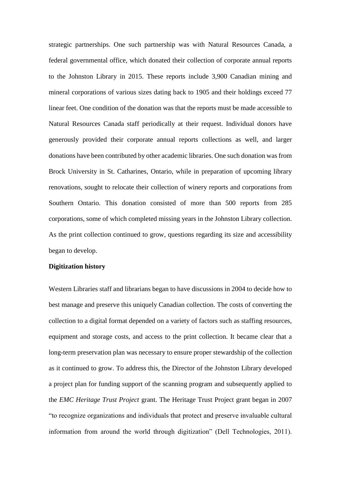strategic partnerships. One such partnership was with Natural Resources Canada, a federal governmental office, which donated their collection of corporate annual reports to the Johnston Library in 2015. These reports include 3,900 Canadian mining and mineral corporations of various sizes dating back to 1905 and their holdings exceed 77 linear feet. One condition of the donation was that the reports must be made accessible to Natural Resources Canada staff periodically at their request. Individual donors have generously provided their corporate annual reports collections as well, and larger donations have been contributed by other academic libraries. One such donation was from Brock University in St. Catharines, Ontario, while in preparation of upcoming library renovations, sought to relocate their collection of winery reports and corporations from Southern Ontario. This donation consisted of more than 500 reports from 285 corporations, some of which completed missing years in the Johnston Library collection. As the print collection continued to grow, questions regarding its size and accessibility began to develop.

# **Digitization history**

Western Libraries staff and librarians began to have discussions in 2004 to decide how to best manage and preserve this uniquely Canadian collection. The costs of converting the collection to a digital format depended on a variety of factors such as staffing resources, equipment and storage costs, and access to the print collection. It became clear that a long-term preservation plan was necessary to ensure proper stewardship of the collection as it continued to grow. To address this, the Director of the Johnston Library developed a project plan for funding support of the scanning program and subsequently applied to the *EMC Heritage Trust Project* grant. The Heritage Trust Project grant began in 2007 "to recognize organizations and individuals that protect and preserve invaluable cultural information from around the world through digitization" (Dell Technologies, 2011).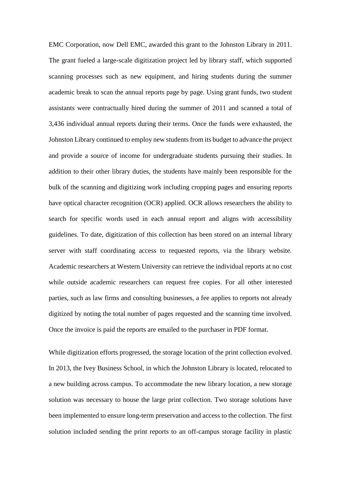EMC Corporation, now Dell EMC, awarded this grant to the Johnston Library in 2011. The grant fueled a large-scale digitization project led by library staff, which supported scanning processes such as new equipment, and hiring students during the summer academic break to scan the annual reports page by page. Using grant funds, two student assistants were contractually hired during the summer of 2011 and scanned a total of 3,436 individual annual reports during their terms. Once the funds were exhausted, the Johnston Library continued to employ new students from its budget to advance the project and provide a source of income for undergraduate students pursuing their studies. In addition to their other library duties, the students have mainly been responsible for the bulk of the scanning and digitizing work including cropping pages and ensuring reports have optical character recognition (OCR) applied. OCR allows researchers the ability to search for specific words used in each annual report and aligns with accessibility guidelines. To date, digitization of this collection has been stored on an internal library server with staff coordinating access to requested reports, via the library website. Academic researchers at Western University can retrieve the individual reports at no cost while outside academic researchers can request free copies. For all other interested parties, such as law firms and consulting businesses, a fee applies to reports not already digitized by noting the total number of pages requested and the scanning time involved. Once the invoice is paid the reports are emailed to the purchaser in PDF format.

While digitization efforts progressed, the storage location of the print collection evolved. In 2013, the Ivey Business School, in which the Johnston Library is located, relocated to a new building across campus. To accommodate the new library location, a new storage solution was necessary to house the large print collection. Two storage solutions have been implemented to ensure long-term preservation and access to the collection. The first solution included sending the print reports to an off-campus storage facility in plastic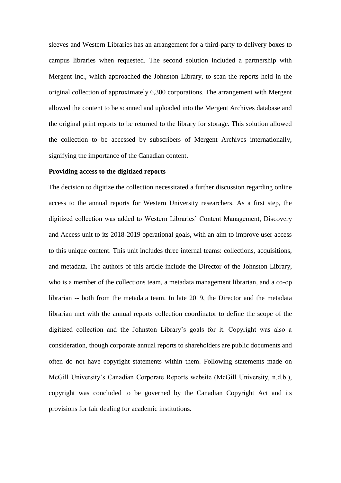sleeves and Western Libraries has an arrangement for a third-party to delivery boxes to campus libraries when requested. The second solution included a partnership with Mergent Inc., which approached the Johnston Library, to scan the reports held in the original collection of approximately 6,300 corporations. The arrangement with Mergent allowed the content to be scanned and uploaded into the Mergent Archives database and the original print reports to be returned to the library for storage. This solution allowed the collection to be accessed by subscribers of Mergent Archives internationally, signifying the importance of the Canadian content.

#### **Providing access to the digitized reports**

The decision to digitize the collection necessitated a further discussion regarding online access to the annual reports for Western University researchers. As a first step, the digitized collection was added to Western Libraries' Content Management, Discovery and Access unit to its 2018-2019 operational goals, with an aim to improve user access to this unique content. This unit includes three internal teams: collections, acquisitions, and metadata. The authors of this article include the Director of the Johnston Library, who is a member of the collections team, a metadata management librarian, and a co-op librarian -- both from the metadata team. In late 2019, the Director and the metadata librarian met with the annual reports collection coordinator to define the scope of the digitized collection and the Johnston Library's goals for it. Copyright was also a consideration, though corporate annual reports to shareholders are public documents and often do not have copyright statements within them. Following statements made on McGill University's Canadian Corporate Reports website (McGill University, n.d.b.), copyright was concluded to be governed by the Canadian Copyright Act and its provisions for fair dealing for academic institutions.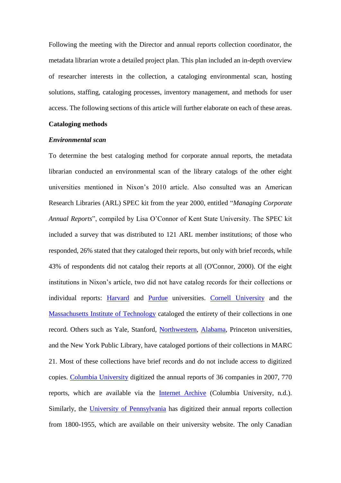Following the meeting with the Director and annual reports collection coordinator, the metadata librarian wrote a detailed project plan. This plan included an in-depth overview of researcher interests in the collection, a cataloging environmental scan, hosting solutions, staffing, cataloging processes, inventory management, and methods for user access. The following sections of this article will further elaborate on each of these areas.

# **Cataloging methods**

#### *Environmental scan*

To determine the best cataloging method for corporate annual reports, the metadata librarian conducted an environmental scan of the library catalogs of the other eight universities mentioned in Nixon's 2010 article. Also consulted was an American Research Libraries (ARL) SPEC kit from the year 2000, entitled "*Managing Corporate Annual Reports*", compiled by Lisa O'Connor of Kent State University. The SPEC kit included a survey that was distributed to 121 ARL member institutions; of those who responded, 26% stated that they cataloged their reports, but only with brief records, while 43% of respondents did not catalog their reports at all (O'Connor, 2000). Of the eight institutions in Nixon's article, two did not have catalog records for their collections or individual reports: [Harvard](https://www.library.hbs.edu/find/collections-archives/special-collections/collecting-areas/historic-corporate-reports) and [Purdue](https://apps.lib.purdue.edu/arsweball/) universities. [Cornell University](https://newcatalog.library.cornell.edu/catalog/3139198) and the [Massachusetts Institute of Technology](https://mit.primo.exlibrisgroup.com/discovery/fulldisplay?vid=01MIT_INST:MIT&docid=alma990014072870106761) cataloged the entirety of their collections in one record. Others such as Yale, Stanford, [Northwestern,](https://www.library.northwestern.edu/libraries-collections/transportation/collection/annual-report-collection.html) [Alabama,](https://www.lib.ua.edu/libraries/bruno/annual-reports/historical-annual-reports-collection/) Princeton universities, and the New York Public Library, have cataloged portions of their collections in MARC 21. Most of these collections have brief records and do not include access to digitized copies. [Columbia University](https://library.columbia.edu/libraries/business/corpreports.html) digitized the annual reports of 36 companies in 2007, 770 reports, which are available via the [Internet Archive](https://archive.org/details/culcorporatereports&tab=collection) (Columbia University, n.d.). Similarly, the [University of Pennsylvania](https://www.library.upenn.edu/collections/special-notable/single/historical-annual-reports) has digitized their annual reports collection from 1800-1955, which are available on their university website. The only Canadian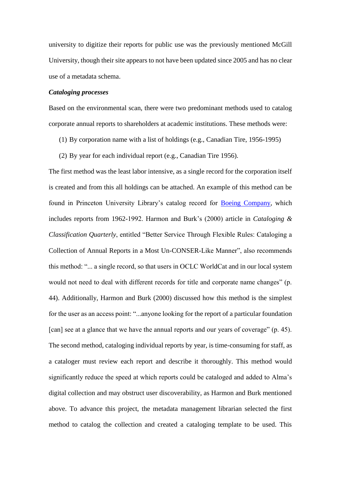university to digitize their reports for public use was the previously mentioned McGill University, though their site appears to not have been updated since 2005 and has no clear use of a metadata schema.

# *Cataloging processes*

Based on the environmental scan, there were two predominant methods used to catalog corporate annual reports to shareholders at academic institutions. These methods were:

- (1) By corporation name with a list of holdings (e.g., Canadian Tire, 1956-1995)
- (2) By year for each individual report (e.g., Canadian Tire 1956).

The first method was the least labor intensive, as a single record for the corporation itself is created and from this all holdings can be attached. An example of this method can be found in Princeton University Library's catalog record for **Boeing Company**, which includes reports from 1962-1992. Harmon and Burk's (2000) article in *Cataloging & Classification Quarterly*, entitled "Better Service Through Flexible Rules: Cataloging a Collection of Annual Reports in a Most Un-CONSER-Like Manner", also recommends this method: "... a single record, so that users in OCLC WorldCat and in our local system would not need to deal with different records for title and corporate name changes" (p. 44). Additionally, Harmon and Burk (2000) discussed how this method is the simplest for the user as an access point: "...anyone looking for the report of a particular foundation [can] see at a glance that we have the annual reports and our years of coverage" (p. 45). The second method, cataloging individual reports by year, is time-consuming for staff, as a cataloger must review each report and describe it thoroughly. This method would significantly reduce the speed at which reports could be cataloged and added to Alma's digital collection and may obstruct user discoverability, as Harmon and Burk mentioned above. To advance this project, the metadata management librarian selected the first method to catalog the collection and created a cataloging template to be used. This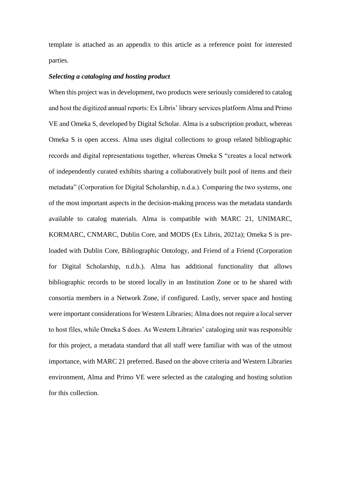template is attached as an appendix to this article as a reference point for interested parties.

#### *Selecting a cataloging and hosting product*

When this project was in development, two products were seriously considered to catalog and host the digitized annual reports: Ex Libris' library services platform Alma and Primo VE and Omeka S, developed by Digital Scholar. Alma is a subscription product, whereas Omeka S is open access. Alma uses digital collections to group related bibliographic records and digital representations together, whereas Omeka S "creates a local network of independently curated exhibits sharing a collaboratively built pool of items and their metadata" (Corporation for Digital Scholarship, n.d.a.). Comparing the two systems, one of the most important aspects in the decision-making process was the metadata standards available to catalog materials. Alma is compatible with MARC 21, UNIMARC, KORMARC, CNMARC, Dublin Core, and MODS (Ex Libris, 2021a); Omeka S is preloaded with Dublin Core, Bibliographic Ontology, and Friend of a Friend (Corporation for Digital Scholarship, n.d.b.). Alma has additional functionality that allows bibliographic records to be stored locally in an Institution Zone or to be shared with consortia members in a Network Zone, if configured. Lastly, server space and hosting were important considerations for Western Libraries; Alma does not require a local server to host files, while Omeka S does. As Western Libraries' cataloging unit was responsible for this project, a metadata standard that all staff were familiar with was of the utmost importance, with MARC 21 preferred. Based on the above criteria and Western Libraries environment, Alma and Primo VE were selected as the cataloging and hosting solution for this collection.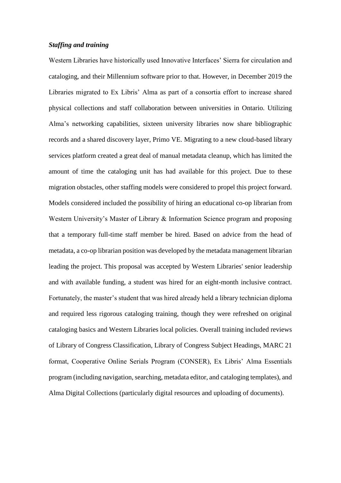### *Staffing and training*

Western Libraries have historically used Innovative Interfaces' Sierra for circulation and cataloging, and their Millennium software prior to that. However, in December 2019 the Libraries migrated to Ex Libris' Alma as part of a consortia effort to increase shared physical collections and staff collaboration between universities in Ontario. Utilizing Alma's networking capabilities, sixteen university libraries now share bibliographic records and a shared discovery layer, Primo VE. Migrating to a new cloud-based library services platform created a great deal of manual metadata cleanup, which has limited the amount of time the cataloging unit has had available for this project. Due to these migration obstacles, other staffing models were considered to propel this project forward. Models considered included the possibility of hiring an educational co-op librarian from Western University's Master of Library & Information Science program and proposing that a temporary full-time staff member be hired. Based on advice from the head of metadata, a co-op librarian position was developed by the metadata management librarian leading the project. This proposal was accepted by Western Libraries' senior leadership and with available funding, a student was hired for an eight-month inclusive contract. Fortunately, the master's student that was hired already held a library technician diploma and required less rigorous cataloging training, though they were refreshed on original cataloging basics and Western Libraries local policies. Overall training included reviews of Library of Congress Classification, Library of Congress Subject Headings, MARC 21 format, Cooperative Online Serials Program (CONSER), Ex Libris' Alma Essentials program (including navigation, searching, metadata editor, and cataloging templates), and Alma Digital Collections (particularly digital resources and uploading of documents).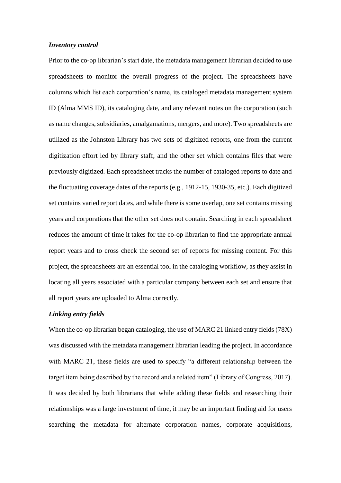#### *Inventory control*

Prior to the co-op librarian's start date, the metadata management librarian decided to use spreadsheets to monitor the overall progress of the project. The spreadsheets have columns which list each corporation's name, its cataloged metadata management system ID (Alma MMS ID), its cataloging date, and any relevant notes on the corporation (such as name changes, subsidiaries, amalgamations, mergers, and more). Two spreadsheets are utilized as the Johnston Library has two sets of digitized reports, one from the current digitization effort led by library staff, and the other set which contains files that were previously digitized. Each spreadsheet tracks the number of cataloged reports to date and the fluctuating coverage dates of the reports (e.g., 1912-15, 1930-35, etc.). Each digitized set contains varied report dates, and while there is some overlap, one set contains missing years and corporations that the other set does not contain. Searching in each spreadsheet reduces the amount of time it takes for the co-op librarian to find the appropriate annual report years and to cross check the second set of reports for missing content. For this project, the spreadsheets are an essential tool in the cataloging workflow, as they assist in locating all years associated with a particular company between each set and ensure that all report years are uploaded to Alma correctly.

### *Linking entry fields*

When the co-op librarian began cataloging, the use of MARC 21 linked entry fields (78X) was discussed with the metadata management librarian leading the project. In accordance with MARC 21, these fields are used to specify "a different relationship between the target item being described by the record and a related item" (Library of Congress, 2017). It was decided by both librarians that while adding these fields and researching their relationships was a large investment of time, it may be an important finding aid for users searching the metadata for alternate corporation names, corporate acquisitions,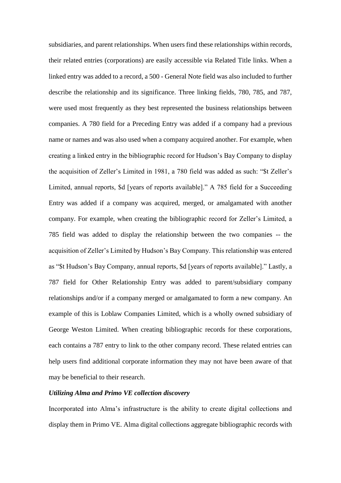subsidiaries, and parent relationships. When users find these relationships within records, their related entries (corporations) are easily accessible via Related Title links. When a linked entry was added to a record, a 500 - General Note field was also included to further describe the relationship and its significance. Three linking fields, 780, 785, and 787, were used most frequently as they best represented the business relationships between companies. A 780 field for a Preceding Entry was added if a company had a previous name or names and was also used when a company acquired another. For example, when creating a linked entry in the bibliographic record for Hudson's Bay Company to display the acquisition of Zeller's Limited in 1981, a 780 field was added as such: "\$t Zeller's Limited, annual reports, \$d [years of reports available]." A 785 field for a Succeeding Entry was added if a company was acquired, merged, or amalgamated with another company. For example, when creating the bibliographic record for Zeller's Limited, a 785 field was added to display the relationship between the two companies -- the acquisition of Zeller's Limited by Hudson's Bay Company. This relationship was entered as "\$t Hudson's Bay Company, annual reports, \$d [years of reports available]." Lastly, a 787 field for Other Relationship Entry was added to parent/subsidiary company relationships and/or if a company merged or amalgamated to form a new company. An example of this is Loblaw Companies Limited, which is a wholly owned subsidiary of George Weston Limited. When creating bibliographic records for these corporations, each contains a 787 entry to link to the other company record. These related entries can help users find additional corporate information they may not have been aware of that may be beneficial to their research.

# *Utilizing Alma and Primo VE collection discovery*

Incorporated into Alma's infrastructure is the ability to create digital collections and display them in Primo VE. Alma digital collections aggregate bibliographic records with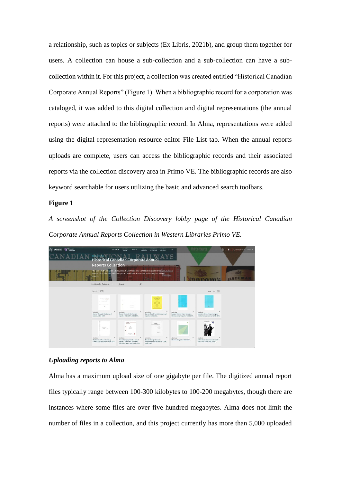a relationship, such as topics or subjects (Ex Libris, 2021b), and group them together for users. A collection can house a sub-collection and a sub-collection can have a subcollection within it. For this project, a collection was created entitled "Historical Canadian Corporate Annual Reports" (Figure 1). When a bibliographic record for a corporation was cataloged, it was added to this digital collection and digital representations (the annual reports) were attached to the bibliographic record. In Alma, representations were added using the digital representation resource editor File List tab. When the annual reports uploads are complete, users can access the bibliographic records and their associated reports via the collection discovery area in Primo VE. The bibliographic records are also keyword searchable for users utilizing the basic and advanced search toolbars.

#### **Figure 1**

*A screenshot of the Collection Discovery lobby page of the Historical Canadian Corporate Annual Reports Collection in Western Libraries Primo VE.*



### *Uploading reports to Alma*

Alma has a maximum upload size of one gigabyte per file. The digitized annual report files typically range between 100-300 kilobytes to 100-200 megabytes, though there are instances where some files are over five hundred megabytes. Alma does not limit the number of files in a collection, and this project currently has more than 5,000 uploaded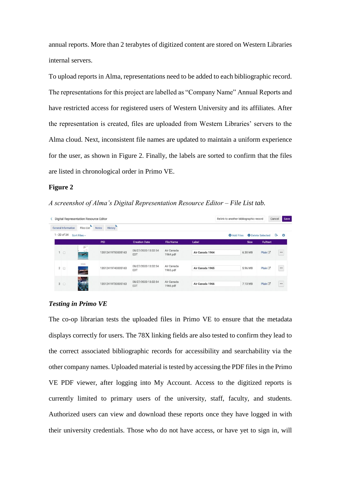annual reports. More than 2 terabytes of digitized content are stored on Western Libraries internal servers.

To upload reports in Alma, representations need to be added to each bibliographic record. The representations for this project are labelled as "Company Name" Annual Reports and have restricted access for registered users of Western University and its affiliates. After the representation is created, files are uploaded from Western Libraries' servers to the Alma cloud. Next, inconsistent file names are updated to maintain a uniform experience for the user, as shown in Figure 2. Finally, the labels are sorted to confirm that the files are listed in chronological order in Primo VE.

# **Figure 2**

*A screenshot of Alma's Digital Representation Resource Editor – File List tab.*

| Digital Representation Resource Editor<br>a. |                                   |                                |                                   |                        |                 | Relink to another bibliographic record |             |                          | Cancel | Save    |
|----------------------------------------------|-----------------------------------|--------------------------------|-----------------------------------|------------------------|-----------------|----------------------------------------|-------------|--------------------------|--------|---------|
| General Information<br>$1 - 20$ of 34        | <b>Files List</b><br>Sort Files - | <b>History</b><br><b>Notes</b> |                                   |                        |                 | <b>O</b> Add Files                     |             | <b>O</b> Delete Selected | G      | $\circ$ |
|                                              |                                   | <b>PID</b>                     | <b>Creation Date</b>              | <b>File Name</b>       | Label           |                                        | <b>Size</b> | <b>Fulltext</b>          |        |         |
| 1 <sup>0</sup>                               | F<br><b>Aurus</b><br>∽            | 13512419750005163              | 08/27/2020 13:32:54<br><b>EDT</b> | Air Canada<br>1964.pdf | Air Canada 1964 |                                        | 6.30 MB     | Plain <sup>[2]</sup>     |        | $$      |
| $2^{\circ}$                                  | <b>College Inc.</b><br>ᄙ          | 13512419740005163              | 08/27/2020 13:32:54<br>EDT        | Air Canada<br>1965.pdf | Air Canada 1965 |                                        | 5.96 MB     | Plain <sup>[2]</sup>     |        |         |
| 3                                            | LA.                               | 13512419730005163              | 08/27/2020 13:32:54<br>EDT        | Air Canada<br>1966.pdf | Air Canada 1966 |                                        | 7.13 MB     | Plain <sup>[2]</sup>     |        |         |

#### *Testing in Primo VE*

The co-op librarian tests the uploaded files in Primo VE to ensure that the metadata displays correctly for users. The 78X linking fields are also tested to confirm they lead to the correct associated bibliographic records for accessibility and searchability via the other company names. Uploaded material is tested by accessing the PDF files in the Primo VE PDF viewer, after logging into My Account. Access to the digitized reports is currently limited to primary users of the university, staff, faculty, and students. Authorized users can view and download these reports once they have logged in with their university credentials. Those who do not have access, or have yet to sign in, will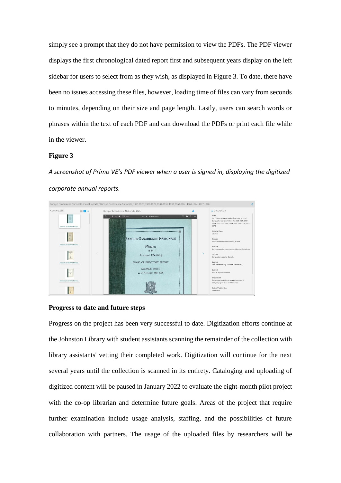simply see a prompt that they do not have permission to view the PDFs. The PDF viewer displays the first chronological dated report first and subsequent years display on the left sidebar for users to select from as they wish, as displayed in Figure 3. To date, there have been no issues accessing these files, however, loading time of files can vary from seconds to minutes, depending on their size and page length. Lastly, users can search words or phrases within the text of each PDF and can download the PDFs or print each file while in the viewer.

### **Figure 3**

*A screenshot of Primo VE's PDF viewer when a user is signed in, displaying the digitized corporate annual reports.*



#### **Progress to date and future steps**

Progress on the project has been very successful to date. Digitization efforts continue at the Johnston Library with student assistants scanning the remainder of the collection with library assistants' vetting their completed work. Digitization will continue for the next several years until the collection is scanned in its entirety. Cataloging and uploading of digitized content will be paused in January 2022 to evaluate the eight-month pilot project with the co-op librarian and determine future goals. Areas of the project that require further examination include usage analysis, staffing, and the possibilities of future collaboration with partners. The usage of the uploaded files by researchers will be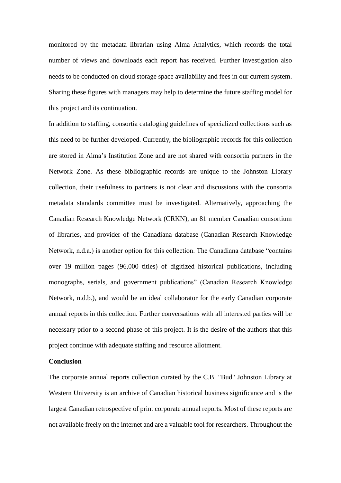monitored by the metadata librarian using Alma Analytics, which records the total number of views and downloads each report has received. Further investigation also needs to be conducted on cloud storage space availability and fees in our current system. Sharing these figures with managers may help to determine the future staffing model for this project and its continuation.

In addition to staffing, consortia cataloging guidelines of specialized collections such as this need to be further developed. Currently, the bibliographic records for this collection are stored in Alma's Institution Zone and are not shared with consortia partners in the Network Zone. As these bibliographic records are unique to the Johnston Library collection, their usefulness to partners is not clear and discussions with the consortia metadata standards committee must be investigated. Alternatively, approaching the Canadian Research Knowledge Network (CRKN), an 81 member Canadian consortium of libraries, and provider of the Canadiana database (Canadian Research Knowledge Network, n.d.a.) is another option for this collection. The Canadiana database "contains over 19 million pages (96,000 titles) of digitized historical publications, including monographs, serials, and government publications" (Canadian Research Knowledge Network, n.d.b.), and would be an ideal collaborator for the early Canadian corporate annual reports in this collection. Further conversations with all interested parties will be necessary prior to a second phase of this project. It is the desire of the authors that this project continue with adequate staffing and resource allotment.

#### **Conclusion**

The corporate annual reports collection curated by the C.B. "Bud" Johnston Library at Western University is an archive of Canadian historical business significance and is the largest Canadian retrospective of print corporate annual reports. Most of these reports are not available freely on the internet and are a valuable tool for researchers. Throughout the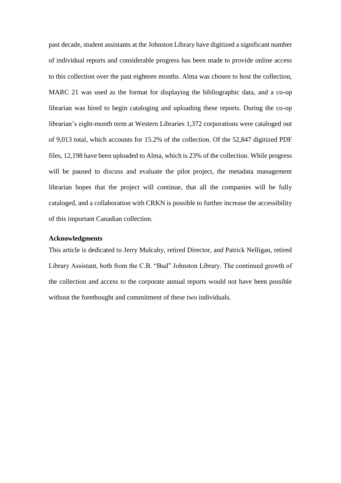past decade, student assistants at the Johnston Library have digitized a significant number of individual reports and considerable progress has been made to provide online access to this collection over the past eighteen months. Alma was chosen to host the collection, MARC 21 was used as the format for displaying the bibliographic data, and a co-op librarian was hired to begin cataloging and uploading these reports. During the co-op librarian's eight-month term at Western Libraries 1,372 corporations were cataloged out of 9,013 total, which accounts for 15.2% of the collection. Of the 52,847 digitized PDF files, 12,198 have been uploaded to Alma, which is 23% of the collection. While progress will be paused to discuss and evaluate the pilot project, the metadata management librarian hopes that the project will continue, that all the companies will be fully cataloged, and a collaboration with CRKN is possible to further increase the accessibility of this important Canadian collection.

#### **Acknowledgments**

This article is dedicated to Jerry Mulcahy, retired Director, and Patrick Nelligan, retired Library Assistant, both from the C.B. "Bud" Johnston Library. The continued growth of the collection and access to the corporate annual reports would not have been possible without the forethought and commitment of these two individuals.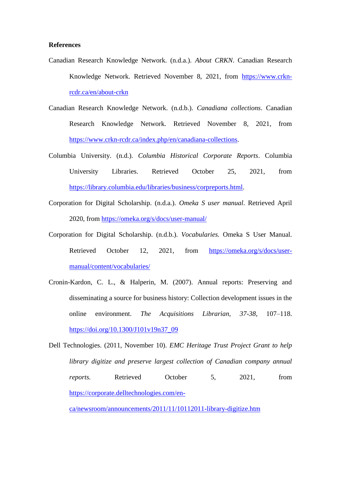#### **References**

- Canadian Research Knowledge Network. (n.d.a.). *About CRKN*. Canadian Research Knowledge Network. Retrieved November 8, 2021, from [https://www.crkn](https://www.crkn-rcdr.ca/en/about-crkn)[rcdr.ca/en/about-crkn](https://www.crkn-rcdr.ca/en/about-crkn)
- Canadian Research Knowledge Network. (n.d.b.). *Canadiana collections*. Canadian Research Knowledge Network. Retrieved November 8, 2021, from [https://www.crkn-rcdr.ca/index.php/en/canadiana-collections.](https://www.crkn-rcdr.ca/index.php/en/canadiana-collections)
- Columbia University. (n.d.). *Columbia Historical Corporate Reports*. Columbia University Libraries. Retrieved October 25, 2021, from [https://library.columbia.edu/libraries/business/corpreports.html.](https://library.columbia.edu/libraries/business/corpreports.html)
- Corporation for Digital Scholarship. (n.d.a.). *Omeka S user manual*. Retrieved April 2020, from<https://omeka.org/s/docs/user-manual/>
- Corporation for Digital Scholarship. (n.d.b.). *Vocabularies.* Omeka S User Manual. Retrieved October 12, 2021, from [https://omeka.org/s/docs/user](https://omeka.org/s/docs/user-manual/content/vocabularies/)[manual/content/vocabularies/](https://omeka.org/s/docs/user-manual/content/vocabularies/)
- Cronin-Kardon, C. L., & Halperin, M. (2007). Annual reports: Preserving and disseminating a source for business history: Collection development issues in the online environment. *The Acquisitions Librarian, 37-38*, 107–118. [https://doi.org/10.1300/J101v19n37\\_09](https://doi.org/10.1300/J101v19n37_09)
- Dell Technologies. (2011, November 10). *EMC Heritage Trust Project Grant to help library digitize and preserve largest collection of Canadian company annual reports.* Retrieved October 5, 2021, from [https://corporate.delltechnologies.com/en-](https://corporate.delltechnologies.com/en-ca/newsroom/announcements/2011/11/10112011-library-digitize.htm)

[ca/newsroom/announcements/2011/11/10112011-library-digitize.htm](https://corporate.delltechnologies.com/en-ca/newsroom/announcements/2011/11/10112011-library-digitize.htm)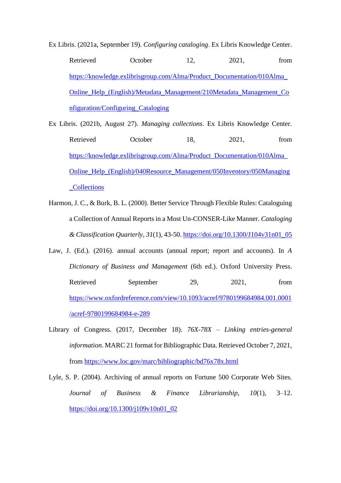Ex Libris. (2021a, September 19). *Configuring cataloging*. Ex Libris Knowledge Center. Retrieved October 12, 2021, from [https://knowledge.exlibrisgroup.com/Alma/Product\\_Documentation/010Alma\\_](https://knowledge.exlibrisgroup.com/Alma/Product_Documentation/010Alma_Online_Help_(English)/Metadata_Management/210Metadata_Management_Configuration/Configuring_Cataloging) [Online\\_Help\\_\(English\)/Metadata\\_Management/210Metadata\\_Management\\_Co](https://knowledge.exlibrisgroup.com/Alma/Product_Documentation/010Alma_Online_Help_(English)/Metadata_Management/210Metadata_Management_Configuration/Configuring_Cataloging) [nfiguration/Configuring\\_Cataloging](https://knowledge.exlibrisgroup.com/Alma/Product_Documentation/010Alma_Online_Help_(English)/Metadata_Management/210Metadata_Management_Configuration/Configuring_Cataloging)

- Ex Libris. (2021b, August 27). *Managing collections*. Ex Libris Knowledge Center. Retrieved October 18, 2021, from [https://knowledge.exlibrisgroup.com/Alma/Product\\_Documentation/010Alma\\_](https://knowledge.exlibrisgroup.com/Alma/Product_Documentation/010Alma_Online_Help_(English)/040Resource_Management/050Inventory/050Managing_Collections) [Online\\_Help\\_\(English\)/040Resource\\_Management/050Inventory/050Managing](https://knowledge.exlibrisgroup.com/Alma/Product_Documentation/010Alma_Online_Help_(English)/040Resource_Management/050Inventory/050Managing_Collections) [\\_Collections](https://knowledge.exlibrisgroup.com/Alma/Product_Documentation/010Alma_Online_Help_(English)/040Resource_Management/050Inventory/050Managing_Collections)
- Harmon, J. C., & Burk, B. L. (2000). Better Service Through Flexible Rules: Cataloguing a Collection of Annual Reports in a Most Un-CONSER-Like Manner. *Cataloging & Classification Quarterly*, *31*(1), 43-50. [https://doi.org/10.1300/J104v31n01\\_05](https://doi.org/10.1300/J104v31n01_05)
- Law, J. (Ed.). (2016). annual accounts (annual report; report and accounts). In *A Dictionary of Business and Management* (6th ed.). Oxford University Press. Retrieved September 29, 2021, from [https://www.oxfordreference.com/view/10.1093/acref/9780199684984.001.0001](https://www.oxfordreference.com/view/10.1093/acref/9780199684984.001.0001/acref-9780199684984-e-289) [/acref-9780199684984-e-289](https://www.oxfordreference.com/view/10.1093/acref/9780199684984.001.0001/acref-9780199684984-e-289)
- Library of Congress. (2017, December 18). *76X-78X – Linking entries-general information*. MARC 21 format for Bibliographic Data. Retrieved October 7, 2021, from<https://www.loc.gov/marc/bibliographic/bd76x78x.html>
- Lyle, S. P. (2004). Archiving of annual reports on Fortune 500 Corporate Web Sites. *Journal of Business & Finance Librarianship*, *10*(1), 3–12. [https://doi.org/10.1300/j109v10n01\\_02](https://doi.org/10.1300/j109v10n01_02)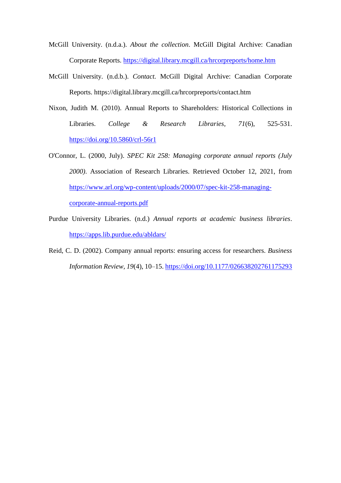- McGill University. (n.d.a.). *About the collection*. McGill Digital Archive: Canadian Corporate Reports.<https://digital.library.mcgill.ca/hrcorpreports/home.htm>
- McGill University. (n.d.b.). *Contact.* McGill Digital Archive: Canadian Corporate Reports. https://digital.library.mcgill.ca/hrcorpreports/contact.htm
- Nixon, Judith M. (2010). Annual Reports to Shareholders: Historical Collections in Libraries. *College & Research Libraries, 71*(6), 525-531. <https://doi.org/10.5860/crl-56r1>
- O'Connor, L. (2000, July). *SPEC Kit 258: Managing corporate annual reports (July 2000)*. Association of Research Libraries. Retrieved October 12, 2021, from [https://www.arl.org/wp-content/uploads/2000/07/spec-kit-258-managing](https://www.arl.org/wp-content/uploads/2000/07/spec-kit-258-managing-corporate-annual-reports.pdf)[corporate-annual-reports.pdf](https://www.arl.org/wp-content/uploads/2000/07/spec-kit-258-managing-corporate-annual-reports.pdf)
- Purdue University Libraries. (n.d.) *Annual reports at academic business libraries*. <https://apps.lib.purdue.edu/abldars/>
- Reid, C. D. (2002). Company annual reports: ensuring access for researchers. *Business Information Review, 19*(4), 10–15[. https://doi.org/10.1177/026638202761175293](https://doi.org/10.1177/026638202761175293)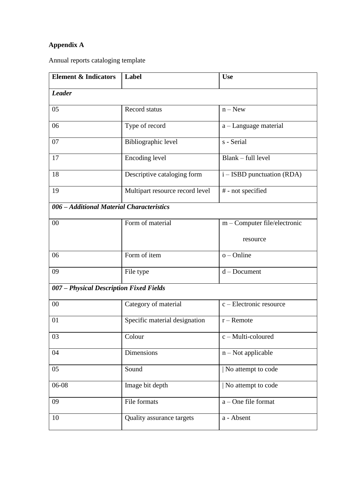# **Appendix A**

Annual reports cataloging template

| <b>Element &amp; Indicators</b>           | Label                            | <b>Use</b>                      |
|-------------------------------------------|----------------------------------|---------------------------------|
| <b>Leader</b>                             |                                  |                                 |
| 05                                        | <b>Record status</b>             | $n - New$                       |
| 06                                        | Type of record                   | a – Language material           |
| 07                                        | Bibliographic level              | s - Serial                      |
| 17                                        | Encoding level                   | Blank – full level              |
| 18                                        | Descriptive cataloging form      | i – ISBD punctuation (RDA)      |
| 19                                        | Multipart resource record level  | # - not specified               |
| 006 - Additional Material Characteristics |                                  |                                 |
| 00                                        | Form of material                 | m – Computer file/electronic    |
|                                           |                                  | resource                        |
| 06                                        | Form of item                     | $o$ – Online                    |
| 09                                        | File type                        | $d$ – Document                  |
| 007 - Physical Description Fixed Fields   |                                  |                                 |
| 00                                        | Category of material             | c - Electronic resource         |
| 01                                        | Specific material designation    | $r -$ Remote                    |
| 03                                        | Colour                           | $\overline{c}$ - Multi-coloured |
| 04                                        | Dimensions                       | $n$ – Not applicable            |
| 05                                        | Sound                            | No attempt to code              |
| 06-08                                     | Image bit depth                  | No attempt to code              |
| 09                                        | File formats                     | a – One file format             |
| 10                                        | <b>Quality assurance targets</b> | a - Absent                      |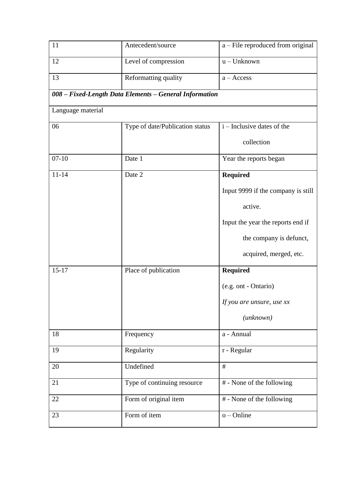| 11                | Antecedent/source                                      | a – File reproduced from original  |
|-------------------|--------------------------------------------------------|------------------------------------|
| 12                | Level of compression                                   | $u - Unknown$                      |
| 13                | Reformatting quality                                   | $a - Access$                       |
|                   | 008 - Fixed-Length Data Elements - General Information |                                    |
| Language material |                                                        |                                    |
| 06                | Type of date/Publication status                        | $i$ – Inclusive dates of the       |
|                   |                                                        | collection                         |
| $07 - 10$         | Date 1                                                 | Year the reports began             |
| $11 - 14$         | Date 2                                                 | Required                           |
|                   |                                                        | Input 9999 if the company is still |
|                   |                                                        | active.                            |
|                   |                                                        | Input the year the reports end if  |
|                   |                                                        | the company is defunct,            |
|                   |                                                        | acquired, merged, etc.             |
| $15 - 17$         | Place of publication                                   | <b>Required</b>                    |
|                   |                                                        | (e.g. ont - Ontario)               |
|                   |                                                        | If you are unsure, use xx          |
|                   |                                                        | $(\mu n$ known $)$                 |
| 18                | Frequency                                              | a - Annual                         |
| 19                | Regularity                                             | r - Regular                        |
| 20                | Undefined                                              | #                                  |
| 21                | Type of continuing resource                            | # - None of the following          |
| 22                | Form of original item                                  | # - None of the following          |
| 23                | Form of item                                           | $o$ – Online                       |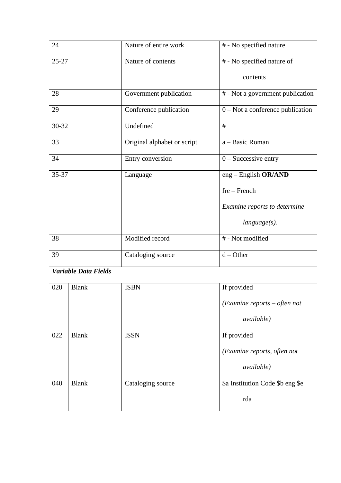| 24        |                             | Nature of entire work       | # - No specified nature            |
|-----------|-----------------------------|-----------------------------|------------------------------------|
| $25 - 27$ |                             | Nature of contents          | # - No specified nature of         |
|           |                             |                             | contents                           |
| 28        |                             | Government publication      | # - Not a government publication   |
| 29        |                             | Conference publication      | $0$ – Not a conference publication |
| 30-32     |                             | Undefined                   | #                                  |
| 33        |                             | Original alphabet or script | a - Basic Roman                    |
| 34        |                             | Entry conversion            | $0$ – Successive entry             |
| 35-37     |                             | Language                    | eng – English OR/AND               |
|           |                             |                             | $fre$ – French                     |
|           |                             |                             | Examine reports to determine       |
|           |                             |                             | $language(s)$ .                    |
| 38        |                             | Modified record             | # - Not modified                   |
| 39        |                             | Cataloging source           | $d$ – Other                        |
|           | <b>Variable Data Fields</b> |                             |                                    |
| 020       | <b>Blank</b>                | <b>ISBN</b>                 | If provided                        |
|           |                             |                             | $(Examine$ reports – often not     |
|           |                             |                             | available)                         |
| 022       | <b>Blank</b>                | <b>ISSN</b>                 | If provided                        |
|           |                             |                             | (Examine reports, often not        |
|           |                             |                             | available)                         |
| 040       | <b>Blank</b>                | Cataloging source           | \$a Institution Code \$b eng \$e   |
|           |                             |                             | rda                                |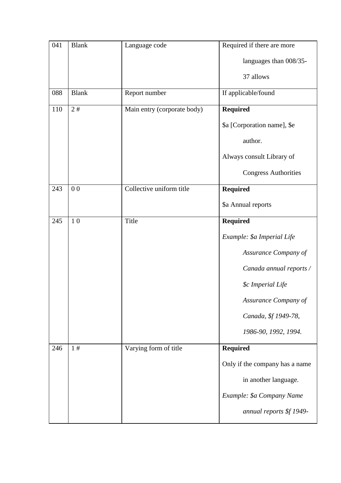| 041 | <b>Blank</b>   | Language code               | Required if there are more     |
|-----|----------------|-----------------------------|--------------------------------|
|     |                |                             | languages than 008/35-         |
|     |                |                             | 37 allows                      |
| 088 | <b>Blank</b>   | Report number               | If applicable/found            |
| 110 | 2#             | Main entry (corporate body) | <b>Required</b>                |
|     |                |                             | \$a [Corporation name], \$e    |
|     |                |                             | author.                        |
|     |                |                             | Always consult Library of      |
|     |                |                             | <b>Congress Authorities</b>    |
| 243 | 0 <sub>0</sub> | Collective uniform title    | <b>Required</b>                |
|     |                |                             | \$a Annual reports             |
| 245 | 1 <sub>0</sub> | Title                       | <b>Required</b>                |
|     |                |                             | Example: \$a Imperial Life     |
|     |                |                             | Assurance Company of           |
|     |                |                             | Canada annual reports /        |
|     |                |                             | \$c Imperial Life              |
|     |                |                             | Assurance Company of           |
|     |                |                             | Canada, \$f 1949-78,           |
|     |                |                             | 1986-90, 1992, 1994.           |
| 246 | 1#             | Varying form of title       | <b>Required</b>                |
|     |                |                             | Only if the company has a name |
|     |                |                             | in another language.           |
|     |                |                             | Example: \$a Company Name      |
|     |                |                             | annual reports \$f 1949-       |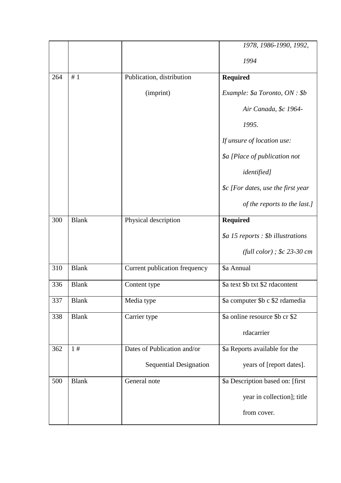|     |              |                               | 1978, 1986-1990, 1992,              |
|-----|--------------|-------------------------------|-------------------------------------|
|     |              |                               | 1994                                |
| 264 | #1           | Publication, distribution     | <b>Required</b>                     |
|     |              | (imprint)                     | Example: \$a Toronto, ON : \$b      |
|     |              |                               | Air Canada, \$c 1964-               |
|     |              |                               | 1995.                               |
|     |              |                               | If unsure of location use:          |
|     |              |                               | \$a [Place of publication not       |
|     |              |                               | <i>identified]</i>                  |
|     |              |                               | $\&$ [For dates, use the first year |
|     |              |                               | of the reports to the last.]        |
| 300 | <b>Blank</b> | Physical description          | <b>Required</b>                     |
|     |              |                               | $$a$ 15 reports : \$b illustrations |
|     |              |                               | (full color); $$c 23-30 cm$         |
| 310 | <b>Blank</b> | Current publication frequency | \$a Annual                          |
| 336 | <b>Blank</b> | Content type                  | \$a text \$b txt \$2 rdacontent     |
| 337 | <b>Blank</b> | Media type                    | \$a computer \$b c \$2 rdamedia     |
| 338 | <b>Blank</b> | Carrier type                  | \$a online resource \$b cr \$2      |
|     |              |                               | rdacarrier                          |
| 362 | 1#           | Dates of Publication and/or   | \$a Reports available for the       |
|     |              | <b>Sequential Designation</b> | years of [report dates].            |
| 500 | <b>Blank</b> | General note                  | \$a Description based on: [first    |
|     |              |                               | year in collection]; title          |
|     |              |                               | from cover.                         |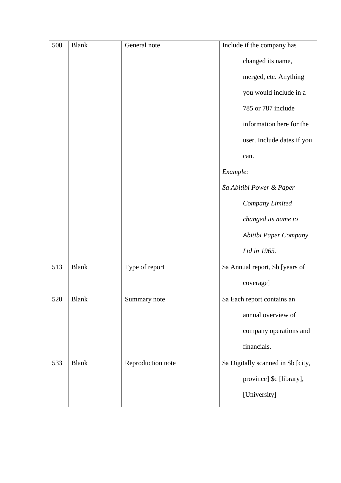| 500 | <b>Blank</b> | General note      | Include if the company has          |
|-----|--------------|-------------------|-------------------------------------|
|     |              |                   | changed its name,                   |
|     |              |                   | merged, etc. Anything               |
|     |              |                   | you would include in a              |
|     |              |                   | 785 or 787 include                  |
|     |              |                   | information here for the            |
|     |              |                   | user. Include dates if you          |
|     |              |                   | can.                                |
|     |              |                   | Example:                            |
|     |              |                   | \$a Abitibi Power & Paper           |
|     |              |                   | Company Limited                     |
|     |              |                   | changed its name to                 |
|     |              |                   | Abitibi Paper Company               |
|     |              |                   | Ltd in 1965.                        |
| 513 | <b>Blank</b> | Type of report    | \$a Annual report, \$b [years of    |
|     |              |                   | coverage]                           |
| 520 | <b>Blank</b> | Summary note      | \$a Each report contains an         |
|     |              |                   | annual overview of                  |
|     |              |                   | company operations and              |
|     |              |                   | financials.                         |
| 533 | <b>Blank</b> | Reproduction note | \$a Digitally scanned in \$b [city, |
|     |              |                   | province] \$c [library],            |
|     |              |                   | [University]                        |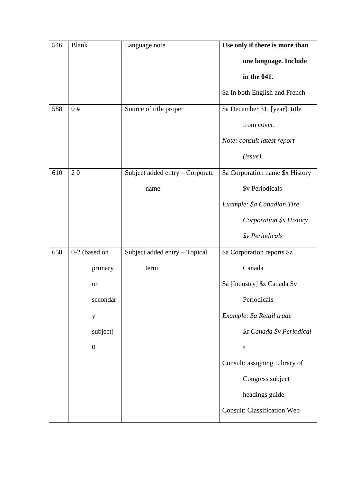| 546 | <b>Blank</b>     | Language note                   | Use only if there is more than     |
|-----|------------------|---------------------------------|------------------------------------|
|     |                  |                                 | one language. Include              |
|     |                  |                                 | in the 041.                        |
|     |                  |                                 | \$a In both English and French     |
| 588 | 0#               | Source of title proper          | \$a December 31, [year]; title     |
|     |                  |                                 | from cover.                        |
|     |                  |                                 | Note: consult latest report        |
|     |                  |                                 | (issue).                           |
| 610 | 20               | Subject added entry - Corporate | \$a Corporation name \$x History   |
|     |                  | name                            | \$v Periodicals                    |
|     |                  |                                 | Example: \$a Canadian Tire         |
|     |                  |                                 | Corporation \$x History            |
|     |                  |                                 | <i><b>\$v</b> Periodicals</i>      |
| 650 | 0-2 (based on    | Subject added entry - Topical   | \$a Corporation reports \$z        |
|     | primary          | term                            | Canada                             |
|     | <b>or</b>        |                                 | \$a [Industry] \$z Canada \$v      |
|     | secondar         |                                 | Periodicals                        |
|     | y                |                                 | Example: \$a Retail trade          |
|     | subject)         |                                 | \$z Canada \$v Periodical          |
|     | $\boldsymbol{0}$ |                                 | $\boldsymbol{S}$                   |
|     |                  |                                 | Consult: assigning Library of      |
|     |                  |                                 | Congress subject                   |
|     |                  |                                 | headings guide                     |
|     |                  |                                 | <b>Consult: Classification Web</b> |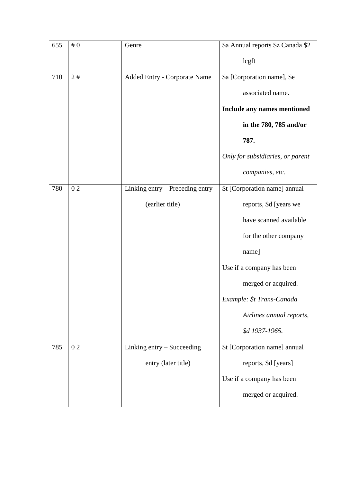| 655 | #0 | Genre                           | \$a Annual reports \$z Canada \$2 |
|-----|----|---------------------------------|-----------------------------------|
|     |    |                                 | lcgft                             |
| 710 | 2# | Added Entry - Corporate Name    | \$a [Corporation name], \$e       |
|     |    |                                 | associated name.                  |
|     |    |                                 | Include any names mentioned       |
|     |    |                                 | in the 780, 785 and/or            |
|     |    |                                 | 787.                              |
|     |    |                                 | Only for subsidiaries, or parent  |
|     |    |                                 | companies, etc.                   |
| 780 | 02 | Linking entry - Preceding entry | \$t [Corporation name] annual     |
|     |    | (earlier title)                 | reports, \$d [years we            |
|     |    |                                 | have scanned available            |
|     |    |                                 | for the other company             |
|     |    |                                 | name]                             |
|     |    |                                 | Use if a company has been         |
|     |    |                                 | merged or acquired.               |
|     |    |                                 | Example: \$t Trans-Canada         |
|     |    |                                 | Airlines annual reports,          |
|     |    |                                 | \$d 1937-1965.                    |
| 785 | 02 | Linking entry – Succeeding      | \$t [Corporation name] annual     |
|     |    | entry (later title)             | reports, \$d [years]              |
|     |    |                                 | Use if a company has been         |
|     |    |                                 | merged or acquired.               |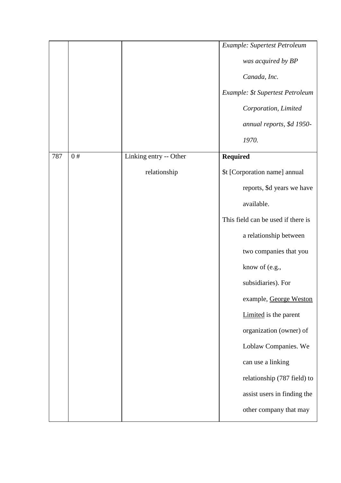|     |    |                                        | Example: Supertest Petroleum<br>was acquired by BP<br>Canada, Inc.<br>Example: \$t Supertest Petroleum<br>Corporation, Limited<br>annual reports, \$d 1950-<br>1970.                                                                                                                                                                                                                                                                              |
|-----|----|----------------------------------------|---------------------------------------------------------------------------------------------------------------------------------------------------------------------------------------------------------------------------------------------------------------------------------------------------------------------------------------------------------------------------------------------------------------------------------------------------|
| 787 | 0# | Linking entry -- Other<br>relationship | <b>Required</b><br>\$t [Corporation name] annual<br>reports, \$d years we have<br>available.<br>This field can be used if there is<br>a relationship between<br>two companies that you<br>know of (e.g.,<br>subsidiaries). For<br>example, George Weston<br>Limited is the parent<br>organization (owner) of<br>Loblaw Companies. We<br>can use a linking<br>relationship (787 field) to<br>assist users in finding the<br>other company that may |